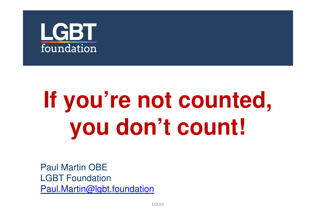

# **If you're not counted, you don't count!**

Paul Martin OBE LGBT FoundationPaul.Martin@lgbt.foundation

EDC03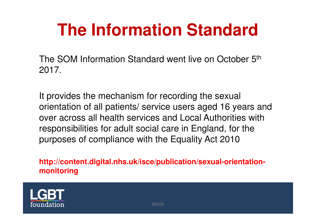### **The Information Standard**

The SOM Information Standard went live on October 5th2017.

It provides the mechanism for recording the sexual orientation of all patients/ service users aged 16 years and over across all health services and Local Authorities with responsibilities for adult social care in England, for the purposes of compliance with the Equality Act 2010

**http://content.digital.nhs.uk/isce/publication/sexual-orientationmonitoring**

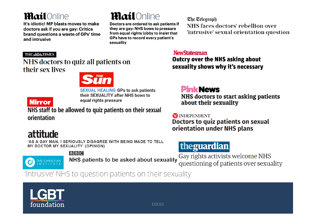#### **Mail**Online

It's idiotic! MP blasts moves to make doctors ask if you are gay: Critics brand questions a waste of GPs' time and intrusive

### **Mail**Online

Doctors are ordered to ask patients if they are gay: NHS bows to pressure from equal rights lobby to insist that GPs have to record every patient's sexuality

The Telegraph NHS faces doctors' rebellion over 'intrusive' sexual orientation question

#### **THE & SOB TIMES**

#### NHS doctors to quiz all patients on their sex lives



**SEXUAL HEALING GPs to ask patients** their SEXUALITY after NHS bows to equal rights pressure

**Mirror** 

NHS staff to be allowed to quiz patients on their sexual orientation

### attitude

'AS A GAY MAN, I SERIOUSLY DISAGREE WITH BEING MADE TO TELL **MY DOCTOR MY SEXUALITY' (OPINION)** 



**BBC** 

NHS patients to be asked about sexuality

#### **NewStatesman**

**Outcry over the NHS asking about** sexuality shows why it's necessary

#### **Pink News**

NHS doctors to start asking patients about their sexuality

**X** INDEPENDENT

Doctors to quiz patients on sexual orientation under NHS plans

#### theguardian

Gay rights activists welcome NHS questioning of patients over sexuality

'Intrusive' NHS to question patients on their sexuality

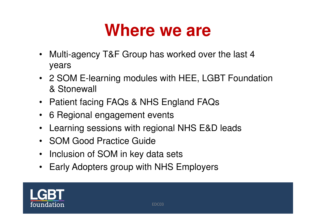### **Where we are**

- Multi-agency T&F Group has worked over the last 4 years
- 2 SOM E-learning modules with HEE, LGBT Foundation & Stonewall
- Patient facing FAQs & NHS England FAQs
- 6 Regional engagement events
- $\bullet$ Learning sessions with regional NHS E&D leads
- SOM Good Practice Guide
- Inclusion of SOM in key data sets
- Early Adopters group with NHS Employers

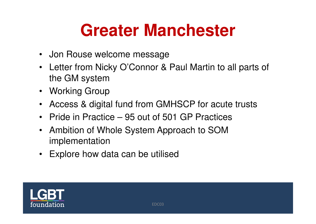### **Greater Manchester**

- Jon Rouse welcome message
- Letter from Nicky O'Connor & Paul Martin to all parts of the GM system
- Working Group
- Access & digital fund from GMHSCP for acute trusts
- Pride in Practice 95 out of 501 GP Practices
- Ambition of Whole System Approach to SOM implementation
- Explore how data can be utilised

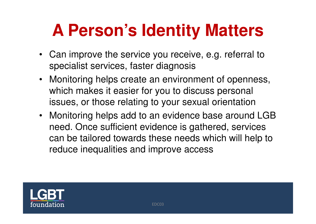## **A Person's Identity Matters**

- Can improve the service you receive, e.g. referral to specialist services, faster diagnosis
- Monitoring helps create an environment of openness, which makes it easier for you to discuss personal issues, or those relating to your sexual orientation
- Monitoring helps add to an evidence base around LGB need. Once sufficient evidence is gathered, services can be tailored towards these needs which will help to reduce inequalities and improve access

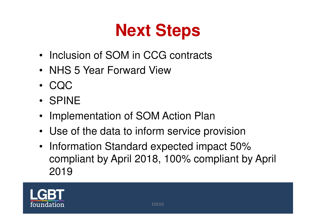# **Next Steps**

- Inclusion of SOM in CCG contracts
- NHS 5 Year Forward View
- $\bullet$ CQC
- SPINE
- $\bullet$ Implementation of SOM Action Plan
- Use of the data to inform service provision
- Information Standard expected impact 50% compliant by April 2018, 100% compliant by April 2019

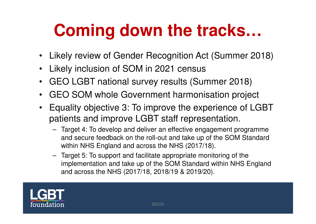## **Coming down the tracks…**

- Likely review of Gender Recognition Act (Summer 2018)
- $\bullet$ Likely inclusion of SOM in 2021 census
- $\bullet$ GEO LGBT national survey results (Summer 2018)
- $\bullet$ GEO SOM whole Government harmonisation project
- Equality objective 3: To improve the experience of LGBTpatients and improve LGBT staff representation.
	- Target 4: To develop and deliver an effective engagement programme and secure feedback on the roll-out and take up of the SOM Standard within NHS England and across the NHS (2017/18).
	- Target 5: To support and facilitate appropriate monitoring of the implementation and take up of the SOM Standard within NHS England and across the NHS (2017/18, 2018/19 & 2019/20).

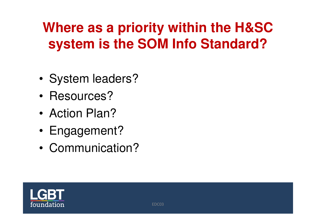### **Where as a priority within the H&SC system is the SOM Info Standard?**

- •System leaders?
- •Resources?
- •Action Plan?
- •Engagement?
- •Communication?